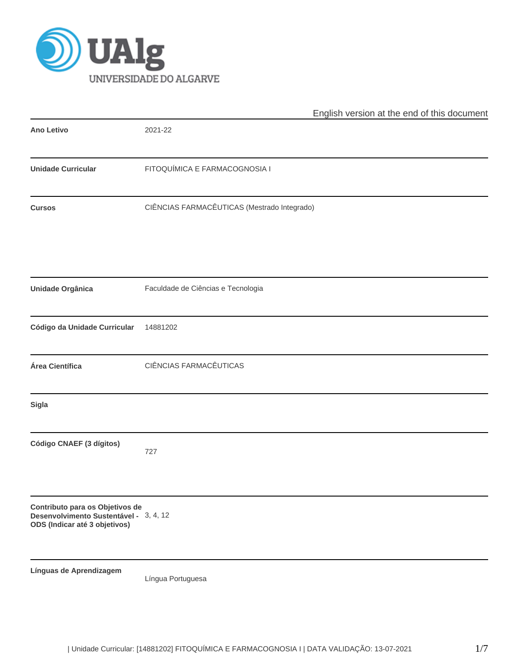

|                                                                                                            | English version at the end of this document |
|------------------------------------------------------------------------------------------------------------|---------------------------------------------|
| <b>Ano Letivo</b>                                                                                          | 2021-22                                     |
| <b>Unidade Curricular</b>                                                                                  | FITOQUÍMICA E FARMACOGNOSIA I               |
| <b>Cursos</b>                                                                                              | CIÊNCIAS FARMACÊUTICAS (Mestrado Integrado) |
| Unidade Orgânica                                                                                           | Faculdade de Ciências e Tecnologia          |
| Código da Unidade Curricular                                                                               | 14881202                                    |
| Área Científica                                                                                            | CIÊNCIAS FARMACÊUTICAS                      |
| Sigla                                                                                                      |                                             |
| Código CNAEF (3 dígitos)                                                                                   | 727                                         |
| Contributo para os Objetivos de<br>Desenvolvimento Sustentável - 3, 4, 12<br>ODS (Indicar até 3 objetivos) |                                             |
| Línguas de Aprendizagem                                                                                    | Língua Portuguesa                           |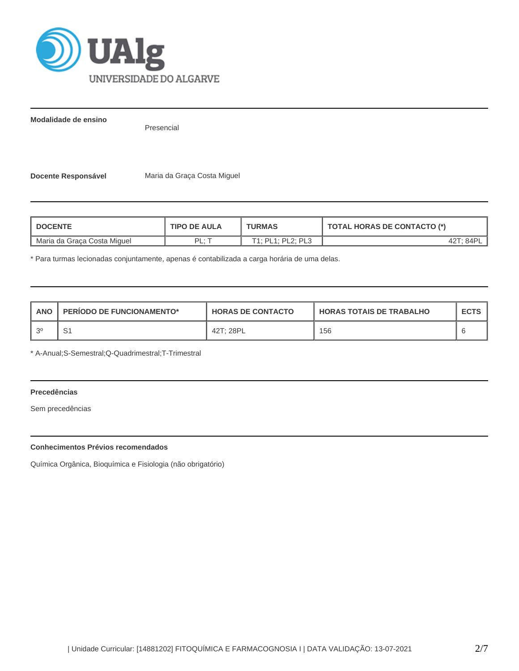

**Modalidade de ensino**

Presencial

**Docente Responsável** Maria da Graça Costa Miguel

| <b>DOCENTE</b>              | <b>TIPO DE AULA</b> |                   | <b>TOTAL HORAS DE CONTACTO (*)</b> |  |  |
|-----------------------------|---------------------|-------------------|------------------------------------|--|--|
| Maria da Graca Costa Miguel | ∙ ום<br>. .         | T1: PL1: PL2: PL3 |                                    |  |  |

\* Para turmas lecionadas conjuntamente, apenas é contabilizada a carga horária de uma delas.

| <b>ANO</b> | <b>PERIODO DE FUNCIONAMENTO*</b> | <b>HORAS DE CONTACTO</b> | <b>HORAS TOTAIS DE TRABALHO</b> | <b>ECTS</b> |
|------------|----------------------------------|--------------------------|---------------------------------|-------------|
| - 20       | ا ب                              | 42T; 28PL                | 156                             |             |

\* A-Anual;S-Semestral;Q-Quadrimestral;T-Trimestral

# **Precedências**

Sem precedências

# **Conhecimentos Prévios recomendados**

Química Orgânica, Bioquímica e Fisiologia (não obrigatório)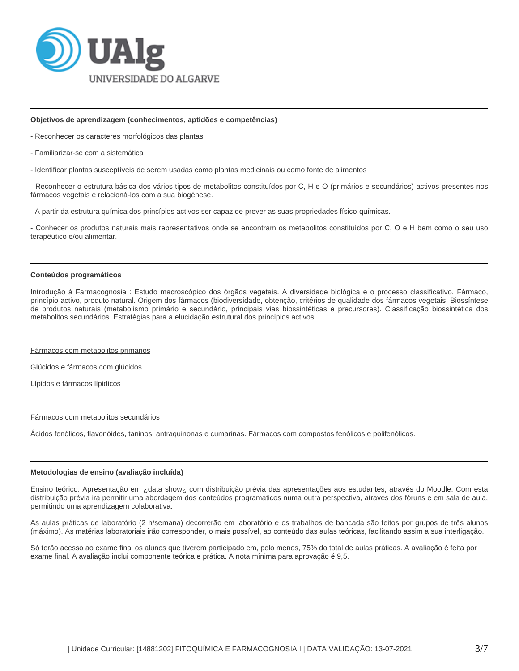

## **Objetivos de aprendizagem (conhecimentos, aptidões e competências)**

- Reconhecer os caracteres morfológicos das plantas

- Familiarizar-se com a sistemática
- Identificar plantas susceptíveis de serem usadas como plantas medicinais ou como fonte de alimentos

- Reconhecer o estrutura básica dos vários tipos de metabolitos constituídos por C, H e O (primários e secundários) activos presentes nos fármacos vegetais e relacioná-los com a sua biogénese.

- A partir da estrutura química dos princípios activos ser capaz de prever as suas propriedades físico-químicas.

- Conhecer os produtos naturais mais representativos onde se encontram os metabolitos constituídos por C, O e H bem como o seu uso terapêutico e/ou alimentar.

### **Conteúdos programáticos**

Introdução à Farmacognosia : Estudo macroscópico dos órgãos vegetais. A diversidade biológica e o processo classificativo. Fármaco, princípio activo, produto natural. Origem dos fármacos (biodiversidade, obtenção, critérios de qualidade dos fármacos vegetais. Biossíntese de produtos naturais (metabolismo primário e secundário, principais vias biossintéticas e precursores). Classificação biossintética dos metabolitos secundários. Estratégias para a elucidação estrutural dos princípios activos.

#### Fármacos com metabolitos primários

Glúcidos e fármacos com glúcidos

Lípidos e fármacos lípidicos

#### Fármacos com metabolitos secundários

Ácidos fenólicos, flavonóides, taninos, antraquinonas e cumarinas. Fármacos com compostos fenólicos e polifenólicos.

## **Metodologias de ensino (avaliação incluída)**

Ensino teórico: Apresentação em ¿data show¿ com distribuição prévia das apresentações aos estudantes, através do Moodle. Com esta distribuição prévia irá permitir uma abordagem dos conteúdos programáticos numa outra perspectiva, através dos fóruns e em sala de aula, permitindo uma aprendizagem colaborativa.

As aulas práticas de laboratório (2 h/semana) decorrerão em laboratório e os trabalhos de bancada são feitos por grupos de três alunos (máximo). As matérias laboratoriais irão corresponder, o mais possível, ao conteúdo das aulas teóricas, facilitando assim a sua interligação.

Só terão acesso ao exame final os alunos que tiverem participado em, pelo menos, 75% do total de aulas práticas. A avaliação é feita por exame final. A avaliação inclui componente teórica e prática. A nota mínima para aprovação é 9,5.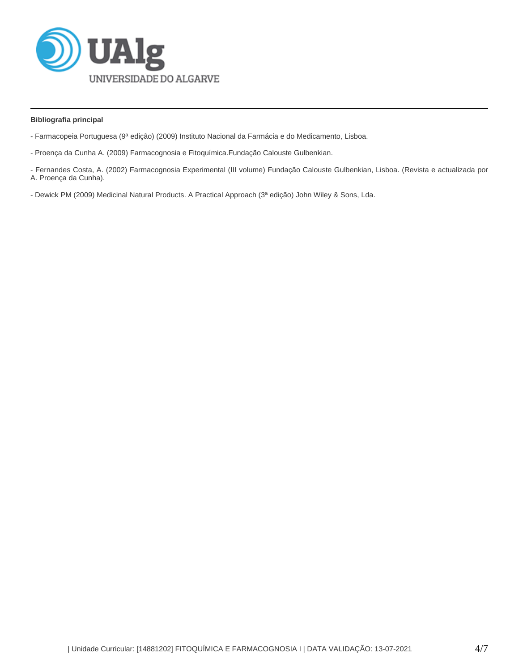

## **Bibliografia principal**

- Farmacopeia Portuguesa (9ª edição) (2009) Instituto Nacional da Farmácia e do Medicamento, Lisboa.
- Proença da Cunha A. (2009) Farmacognosia e Fitoquímica.Fundação Calouste Gulbenkian.

- Fernandes Costa, A. (2002) Farmacognosia Experimental (III volume) Fundação Calouste Gulbenkian, Lisboa. (Revista e actualizada por A. Proença da Cunha).

- Dewick PM (2009) Medicinal Natural Products. A Practical Approach (3ª edição) John Wiley & Sons, Lda.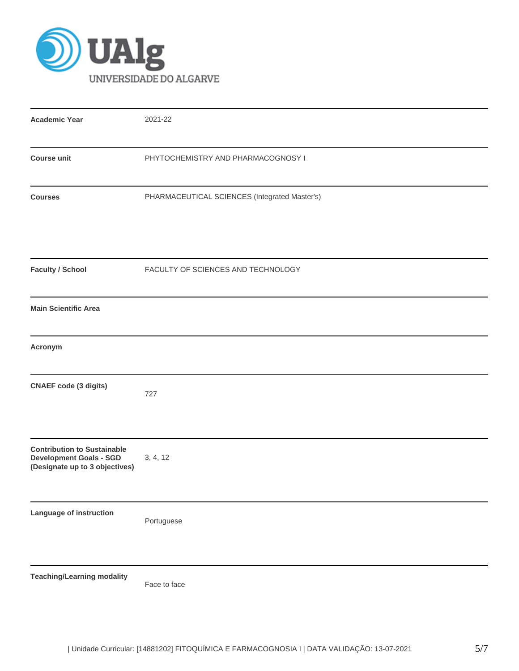

| <b>Academic Year</b>                                                                                   | 2021-22                                       |
|--------------------------------------------------------------------------------------------------------|-----------------------------------------------|
| <b>Course unit</b>                                                                                     | PHYTOCHEMISTRY AND PHARMACOGNOSY I            |
| <b>Courses</b>                                                                                         | PHARMACEUTICAL SCIENCES (Integrated Master's) |
| <b>Faculty / School</b>                                                                                | FACULTY OF SCIENCES AND TECHNOLOGY            |
| <b>Main Scientific Area</b>                                                                            |                                               |
| Acronym                                                                                                |                                               |
| <b>CNAEF</b> code (3 digits)                                                                           | 727                                           |
| <b>Contribution to Sustainable</b><br><b>Development Goals - SGD</b><br>(Designate up to 3 objectives) | 3, 4, 12                                      |
| Language of instruction                                                                                | Portuguese                                    |
| <b>Teaching/Learning modality</b>                                                                      | Face to face                                  |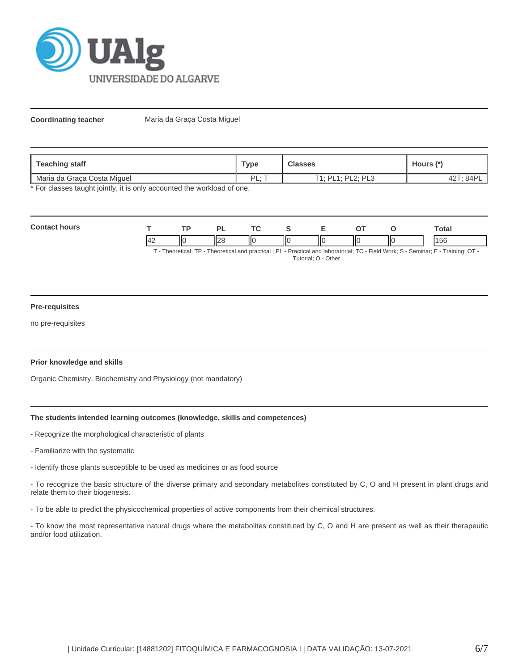

**Coordinating teacher** Maria da Graça Costa Miguel

| Teaching staff              | <b>Type</b> | <b>Classes</b>                                  | Hours (*`     |  |
|-----------------------------|-------------|-------------------------------------------------|---------------|--|
| Maria da Graca Costa Miguel | PI<br>-     | $T1 \cdot P1 1 \cdot P1 2 \cdot P1 3$<br>ᄕ<br>- | . 84F<br>44 i |  |

\* For classes taught jointly, it is only accounted the workload of one.

| Con<br>ours |         | <b>TD</b> | $\overline{\phantom{a}}$ | $\sim$ $\sim$ |   | -  | --  |     | otal |
|-------------|---------|-----------|--------------------------|---------------|---|----|-----|-----|------|
|             | II<br>╌ |           | $\mathsf{I}$<br>╹╹       | IІC           | Ш | ПC | IІC | IІC | 156  |

T - Theoretical; TP - Theoretical and practical ; PL - Practical and laboratorial; TC - Field Work; S - Seminar; E - Training; OT - Tutorial; O - Other

## **Pre-requisites**

no pre-requisites

## **Prior knowledge and skills**

Organic Chemistry, Biochemistry and Physiology (not mandatory)

# **The students intended learning outcomes (knowledge, skills and competences)**

- Recognize the morphological characteristic of plants
- Familiarize with the systematic
- Identify those plants susceptible to be used as medicines or as food source

- To recognize the basic structure of the diverse primary and secondary metabolites constituted by C, O and H present in plant drugs and relate them to their biogenesis.

- To be able to predict the physicochemical properties of active components from their chemical structures.

- To know the most representative natural drugs where the metabolites constituted by C, O and H are present as well as their therapeutic and/or food utilization.